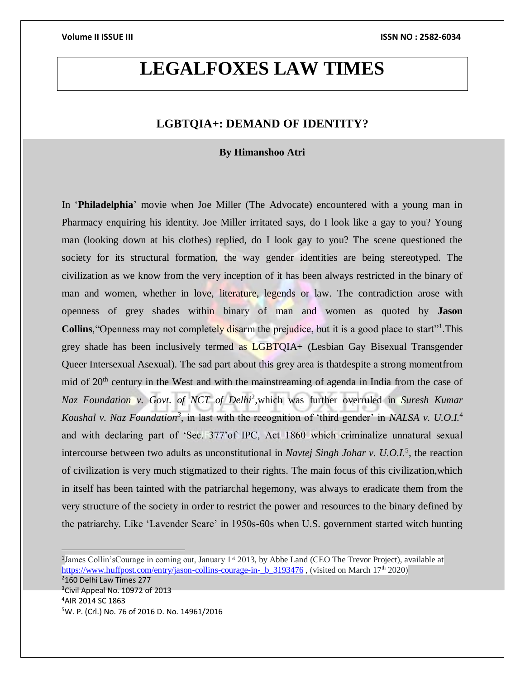## **LEGALFOXES LAW TIMES**

### **LGBTQIA+: DEMAND OF IDENTITY?**

### **By Himanshoo Atri**

In '**Philadelphia**' movie when Joe Miller (The Advocate) encountered with a young man in Pharmacy enquiring his identity. Joe Miller irritated says, do I look like a gay to you? Young man (looking down at his clothes) replied, do I look gay to you? The scene questioned the society for its structural formation, the way gender identities are being stereotyped. The civilization as we know from the very inception of it has been always restricted in the binary of man and women, whether in love, literature, legends or law. The contradiction arose with openness of grey shades within binary of man and women as quoted by **Jason**  Collins, "Openness may not completely disarm the prejudice, but it is a good place to start"<sup>1</sup>. This grey shade has been inclusively termed as LGBTQIA+ (Lesbian Gay Bisexual Transgender Queer Intersexual Asexual). The sad part about this grey area is thatdespite a strong momentfrom mid of  $20<sup>th</sup>$  century in the West and with the mainstreaming of agenda in India from the case of Naz Foundation v. Govt. of NCT of Delhi<sup>2</sup>, which was further overruled in *Suresh Kumar* Koushal v. Naz Foundation<sup>3</sup>, in last with the recognition of 'third gender' in *NALSA v. U.O.I.*<sup>4</sup> and with declaring part of 'Sec. 377'of IPC, Act 1860 which criminalize unnatural sexual intercourse between two adults as unconstitutional in *Navtej Singh Johar v. U.O.I.*<sup>5</sup> , the reaction of civilization is very much stigmatized to their rights. The main focus of this civilization,which in itself has been tainted with the patriarchal hegemony, was always to eradicate them from the very structure of the society in order to restrict the power and resources to the binary defined by the patriarchy. Like 'Lavender Scare' in 1950s-60s when U.S. government started witch hunting

<sup>1</sup>James Collin'sCourage in coming out, January 1<sup>st</sup> 2013, by Abbe Land (CEO The Trevor Project), available at [https://www.huffpost.com/entry/jason-collins-courage-in-\\_b\\_3193476](https://www.huffpost.com/entry/jason-collins-courage-in-_b_3193476) , (visited on March 17<sup>th</sup> 2020)

160 Delhi Law Times 277 <sup>3</sup>Civil Appeal No. 10972 of 2013 AIR 2014 SC 1863 W. P. (Crl.) No. 76 of 2016 D. No. 14961/2016

 $\overline{a}$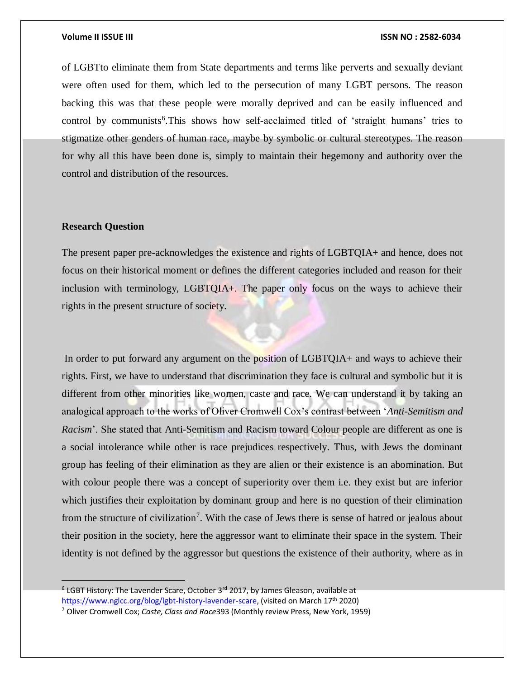of LGBTto eliminate them from State departments and terms like perverts and sexually deviant were often used for them, which led to the persecution of many LGBT persons. The reason backing this was that these people were morally deprived and can be easily influenced and control by communists<sup>6</sup>. This shows how self-acclaimed titled of 'straight humans' tries to stigmatize other genders of human race, maybe by symbolic or cultural stereotypes. The reason for why all this have been done is, simply to maintain their hegemony and authority over the control and distribution of the resources.

### **Research Question**

The present paper pre-acknowledges the existence and rights of LGBTQIA+ and hence, does not focus on their historical moment or defines the different categories included and reason for their inclusion with terminology, LGBTQIA+. The paper only focus on the ways to achieve their rights in the present structure of society.

In order to put forward any argument on the position of LGBTQIA+ and ways to achieve their rights. First, we have to understand that discrimination they face is cultural and symbolic but it is different from other minorities like women, caste and race. We can understand it by taking an analogical approach to the works of Oliver Cromwell Cox's contrast between '*Anti-Semitism and Racism*'. She stated that Anti-Semitism and Racism toward Colour people are different as one is a social intolerance while other is race prejudices respectively. Thus, with Jews the dominant group has feeling of their elimination as they are alien or their existence is an abomination. But with colour people there was a concept of superiority over them i.e. they exist but are inferior which justifies their exploitation by dominant group and here is no question of their elimination from the structure of civilization<sup>7</sup>. With the case of Jews there is sense of hatred or jealous about their position in the society, here the aggressor want to eliminate their space in the system. Their identity is not defined by the aggressor but questions the existence of their authority, where as in

 $6$  LGBT History: The Lavender Scare, October 3<sup>rd</sup> 2017, by James Gleason, available at [https://www.nglcc.org/blog/lgbt-history-lavender-scare,](https://www.nglcc.org/blog/lgbt-history-lavender-scare) (visited on March 17<sup>th</sup> 2020)

<sup>7</sup> Oliver Cromwell Cox; *Caste, Class and Race*393 (Monthly review Press, New York, 1959)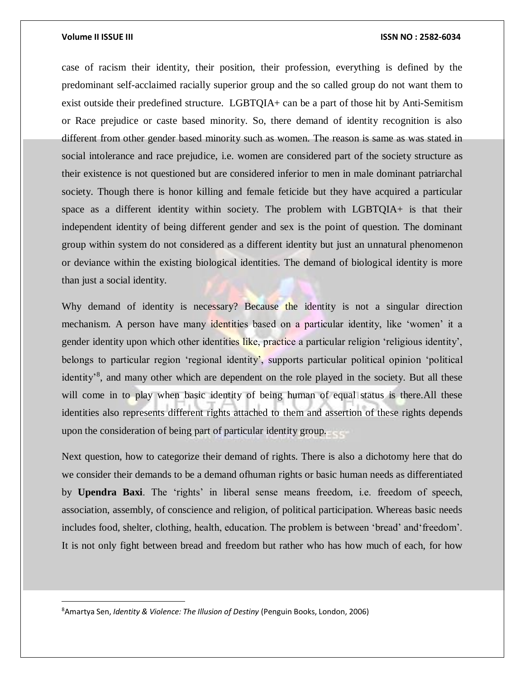$\overline{a}$ 

case of racism their identity, their position, their profession, everything is defined by the predominant self-acclaimed racially superior group and the so called group do not want them to exist outside their predefined structure. LGBTQIA+ can be a part of those hit by Anti-Semitism or Race prejudice or caste based minority. So, there demand of identity recognition is also different from other gender based minority such as women. The reason is same as was stated in social intolerance and race prejudice, i.e. women are considered part of the society structure as their existence is not questioned but are considered inferior to men in male dominant patriarchal society. Though there is honor killing and female feticide but they have acquired a particular space as a different identity within society. The problem with LGBTQIA+ is that their independent identity of being different gender and sex is the point of question. The dominant group within system do not considered as a different identity but just an unnatural phenomenon or deviance within the existing biological identities. The demand of biological identity is more than just a social identity.

Why demand of identity is necessary? Because the identity is not a singular direction mechanism. A person have many identities based on a particular identity, like 'women' it a gender identity upon which other identities like, practice a particular religion 'religious identity', belongs to particular region 'regional identity', supports particular political opinion 'political identity<sup>3</sup>, and many other which are dependent on the role played in the society. But all these will come in to play when basic identity of being human of equal status is there.All these identities also represents different rights attached to them and assertion of these rights depends upon the consideration of being part of particular identity group.

Next question, how to categorize their demand of rights. There is also a dichotomy here that do we consider their demands to be a demand ofhuman rights or basic human needs as differentiated by **Upendra Baxi**. The 'rights' in liberal sense means freedom, i.e. freedom of speech, association, assembly, of conscience and religion, of political participation. Whereas basic needs includes food, shelter, clothing, health, education. The problem is between 'bread' and'freedom'. It is not only fight between bread and freedom but rather who has how much of each, for how

<sup>8</sup>Amartya Sen, *Identity & Violence: The Illusion of Destiny* (Penguin Books, London, 2006)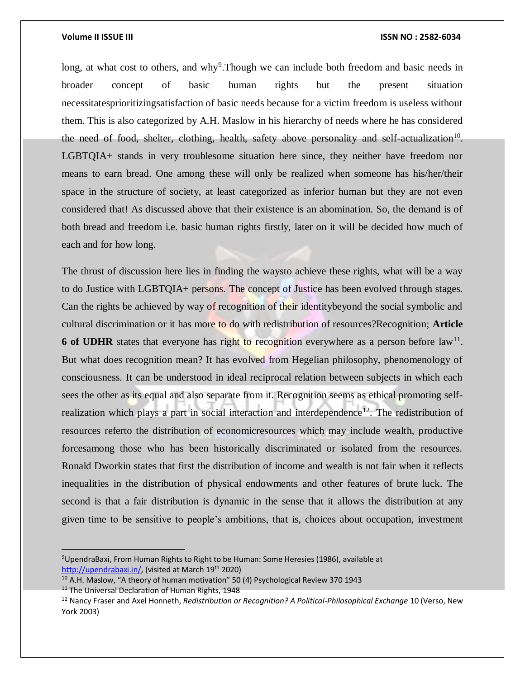long, at what cost to others, and why<sup>9</sup>. Though we can include both freedom and basic needs in broader concept of basic human rights but the present situation necessitatesprioritizingsatisfaction of basic needs because for a victim freedom is useless without them. This is also categorized by A.H. Maslow in his hierarchy of needs where he has considered the need of food, shelter, clothing, health, safety above personality and self-actualization<sup>10</sup>. LGBTQIA+ stands in very troublesome situation here since, they neither have freedom nor means to earn bread. One among these will only be realized when someone has his/her/their space in the structure of society, at least categorized as inferior human but they are not even considered that! As discussed above that their existence is an abomination. So, the demand is of both bread and freedom i.e. basic human rights firstly, later on it will be decided how much of each and for how long.

The thrust of discussion here lies in finding the waysto achieve these rights, what will be a way to do Justice with LGBTQIA+ persons. The concept of Justice has been evolved through stages. Can the rights be achieved by way of recognition of their identitybeyond the social symbolic and cultural discrimination or it has more to do with redistribution of resources?Recognition; **Article 6 of UDHR** states that everyone has right to recognition everywhere as a person before  $\text{law}^{11}$ . But what does recognition mean? It has evolved from Hegelian philosophy, phenomenology of consciousness. It can be understood in ideal reciprocal relation between subjects in which each sees the other as its equal and also separate from it. Recognition seems as ethical promoting selfrealization which plays a part in social interaction and interdependence<sup>12</sup>. The redistribution of resources referto the distribution of economicresources which may include wealth, productive forcesamong those who has been historically discriminated or isolated from the resources. Ronald Dworkin states that first the distribution of income and wealth is not fair when it reflects inequalities in the distribution of physical endowments and other features of brute luck. The second is that a fair distribution is dynamic in the sense that it allows the distribution at any given time to be sensitive to people's ambitions, that is, choices about occupation, investment

 $\overline{a}$ 

<sup>9</sup>UpendraBaxi, From Human Rights to Right to be Human: Some Heresies (1986), available at [http://upendrabaxi.in/,](http://upendrabaxi.in/) (visited at March 19<sup>th</sup> 2020)

 $10$  A.H. Maslow, "A theory of human motivation" 50 (4) Psychological Review 370 1943

<sup>&</sup>lt;sup>11</sup> The Universal Declaration of Human Rights, 1948

<sup>12</sup> Nancy Fraser and Axel Honneth, *Redistribution or Recognition? A Political-Philosophical Exchange* 10 (Verso, New York 2003)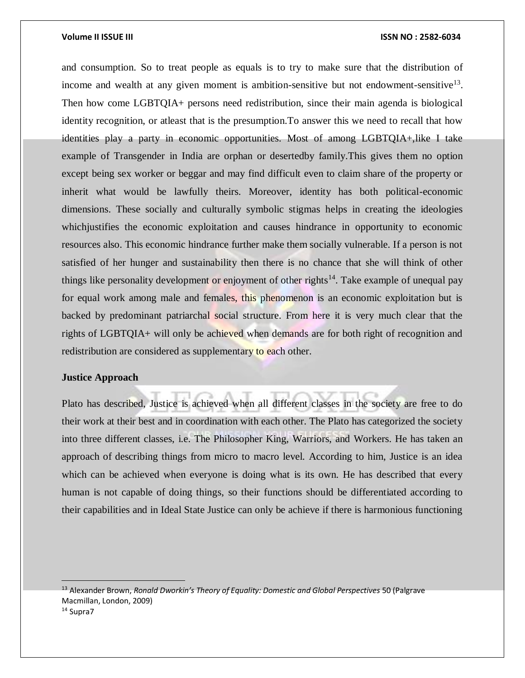and consumption. So to treat people as equals is to try to make sure that the distribution of income and wealth at any given moment is ambition-sensitive but not endowment-sensitive<sup>13</sup>. Then how come LGBTQIA+ persons need redistribution, since their main agenda is biological identity recognition, or atleast that is the presumption.To answer this we need to recall that how identities play a party in economic opportunities. Most of among LGBTQIA+,like I take example of Transgender in India are orphan or desertedby family.This gives them no option except being sex worker or beggar and may find difficult even to claim share of the property or inherit what would be lawfully theirs. Moreover, identity has both political-economic dimensions. These socially and culturally symbolic stigmas helps in creating the ideologies which justifies the economic exploitation and causes hindrance in opportunity to economic resources also. This economic hindrance further make them socially vulnerable. If a person is not satisfied of her hunger and sustainability then there is no chance that she will think of other things like personality development or enjoyment of other rights<sup>14</sup>. Take example of unequal pay for equal work among male and females, this phenomenon is an economic exploitation but is backed by predominant patriarchal social structure. From here it is very much clear that the rights of LGBTQIA+ will only be achieved when demands are for both right of recognition and redistribution are considered as supplementary to each other.

### **Justice Approach**

Plato has described, Justice is achieved when all different classes in the society are free to do their work at their best and in coordination with each other. The Plato has categorized the society into three different classes, i.e. The Philosopher King, Warriors, and Workers. He has taken an approach of describing things from micro to macro level. According to him, Justice is an idea which can be achieved when everyone is doing what is its own. He has described that every human is not capable of doing things, so their functions should be differentiated according to their capabilities and in Ideal State Justice can only be achieve if there is harmonious functioning

<sup>13</sup> Alexander Brown, *Ronald Dworkin's Theory of Equality: Domestic and Global Perspectives* 50 (Palgrave Macmillan, London, 2009)

<sup>14</sup> Supra7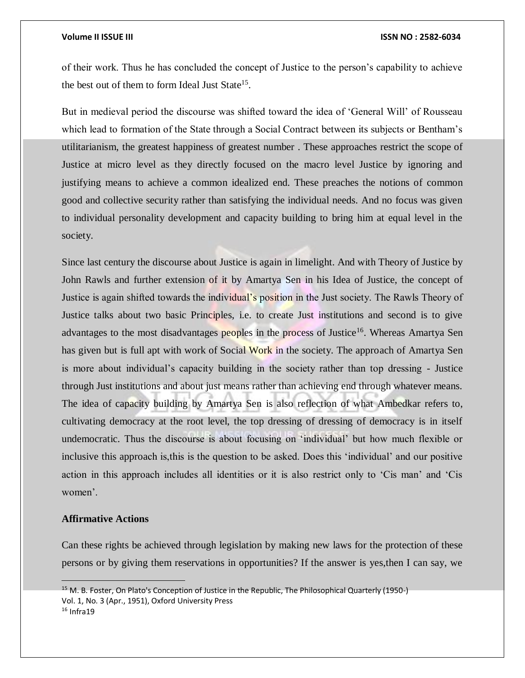of their work. Thus he has concluded the concept of Justice to the person's capability to achieve the best out of them to form Ideal Just State<sup>15</sup>.

But in medieval period the discourse was shifted toward the idea of 'General Will' of Rousseau which lead to formation of the State through a Social Contract between its subjects or Bentham's utilitarianism, the greatest happiness of greatest number . These approaches restrict the scope of Justice at micro level as they directly focused on the macro level Justice by ignoring and justifying means to achieve a common idealized end. These preaches the notions of common good and collective security rather than satisfying the individual needs. And no focus was given to individual personality development and capacity building to bring him at equal level in the society.

Since last century the discourse about Justice is again in limelight. And with Theory of Justice by John Rawls and further extension of it by Amartya Sen in his Idea of Justice, the concept of Justice is again shifted towards the individual's position in the Just society. The Rawls Theory of Justice talks about two basic Principles, i.e. to create Just institutions and second is to give advantages to the most disadvantages peoples in the process of Justice<sup>16</sup>. Whereas Amartya Sen has given but is full apt with work of Social Work in the society. The approach of Amartya Sen is more about individual's capacity building in the society rather than top dressing - Justice through Just institutions and about just means rather than achieving end through whatever means. The idea of capacity building by Amartya Sen is also reflection of what Ambedkar refers to, cultivating democracy at the root level, the top dressing of dressing of democracy is in itself undemocratic. Thus the discourse is about focusing on 'individual' but how much flexible or inclusive this approach is,this is the question to be asked. Does this 'individual' and our positive action in this approach includes all identities or it is also restrict only to 'Cis man' and 'Cis women'.

### **Affirmative Actions**

Can these rights be achieved through legislation by making new laws for the protection of these persons or by giving them reservations in opportunities? If the answer is yes,then I can say, we

<sup>15</sup> M. B. Foster, On Plato's Conception of Justice in the Republic, The Philosophical Quarterly (1950-) Vol. 1, No. 3 (Apr., 1951), Oxford University Press  $16$  Infra19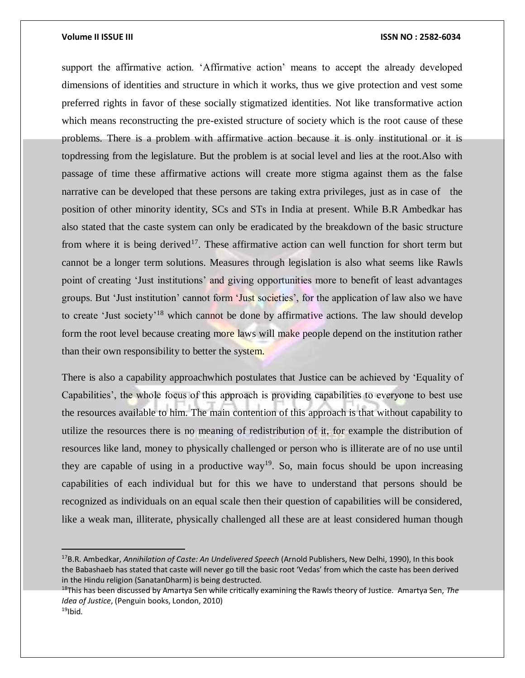$\overline{a}$ 

### **Volume II ISSUE III ISSN NO : 2582-6034**

support the affirmative action. 'Affirmative action' means to accept the already developed dimensions of identities and structure in which it works, thus we give protection and vest some preferred rights in favor of these socially stigmatized identities. Not like transformative action which means reconstructing the pre-existed structure of society which is the root cause of these problems. There is a problem with affirmative action because it is only institutional or it is topdressing from the legislature. But the problem is at social level and lies at the root.Also with passage of time these affirmative actions will create more stigma against them as the false narrative can be developed that these persons are taking extra privileges, just as in case of the position of other minority identity, SCs and STs in India at present. While B.R Ambedkar has also stated that the caste system can only be eradicated by the breakdown of the basic structure from where it is being derived<sup>17</sup>. These affirmative action can well function for short term but cannot be a longer term solutions. Measures through legislation is also what seems like Rawls point of creating 'Just institutions' and giving opportunities more to benefit of least advantages groups. But 'Just institution' cannot form 'Just societies', for the application of law also we have to create 'Just society'<sup>18</sup> which cannot be done by affirmative actions. The law should develop form the root level because creating more laws will make people depend on the institution rather than their own responsibility to better the system.

There is also a capability approachwhich postulates that Justice can be achieved by 'Equality of Capabilities', the whole focus of this approach is providing capabilities to everyone to best use the resources available to him. The main contention of this approach is that without capability to utilize the resources there is no meaning of redistribution of it, for example the distribution of resources like land, money to physically challenged or person who is illiterate are of no use until they are capable of using in a productive way<sup>19</sup>. So, main focus should be upon increasing capabilities of each individual but for this we have to understand that persons should be recognized as individuals on an equal scale then their question of capabilities will be considered, like a weak man, illiterate, physically challenged all these are at least considered human though

<sup>17</sup>B.R. Ambedkar, *Annihilation of Caste: An Undelivered Speech* (Arnold Publishers, New Delhi, 1990), In this book the Babashaeb has stated that caste will never go till the basic root 'Vedas' from which the caste has been derived in the Hindu religion (SanatanDharm) is being destructed.

<sup>18</sup>This has been discussed by Amartya Sen while critically examining the Rawls theory of Justice. Amartya Sen, *The Idea of Justice*, (Penguin books, London, 2010)  $19$ Ibid.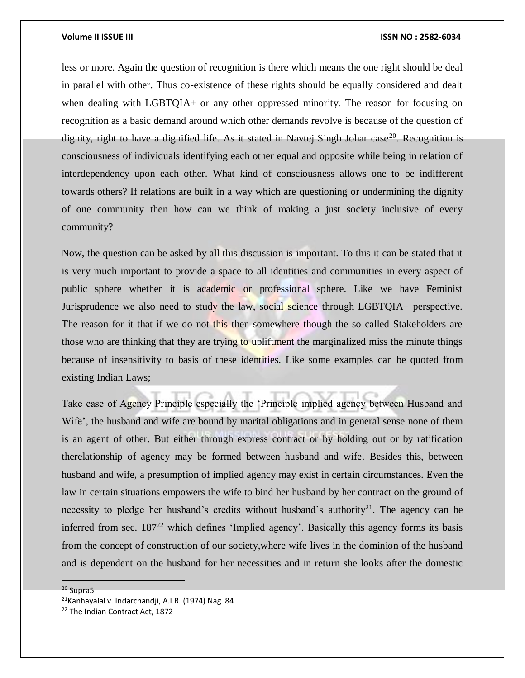less or more. Again the question of recognition is there which means the one right should be deal in parallel with other. Thus co-existence of these rights should be equally considered and dealt when dealing with LGBTQIA+ or any other oppressed minority. The reason for focusing on recognition as a basic demand around which other demands revolve is because of the question of dignity, right to have a dignified life. As it stated in Navtej Singh Johar case<sup>20</sup>. Recognition is consciousness of individuals identifying each other equal and opposite while being in relation of interdependency upon each other. What kind of consciousness allows one to be indifferent towards others? If relations are built in a way which are questioning or undermining the dignity of one community then how can we think of making a just society inclusive of every community?

Now, the question can be asked by all this discussion is important. To this it can be stated that it is very much important to provide a space to all identities and communities in every aspect of public sphere whether it is academic or professional sphere. Like we have Feminist Jurisprudence we also need to study the law, social science through LGBTQIA+ perspective. The reason for it that if we do not this then somewhere though the so called Stakeholders are those who are thinking that they are trying to upliftment the marginalized miss the minute things because of insensitivity to basis of these identities. Like some examples can be quoted from existing Indian Laws;

Take case of Agency Principle especially the 'Principle implied agency between Husband and Wife', the husband and wife are bound by marital obligations and in general sense none of them is an agent of other. But either through express contract or by holding out or by ratification therelationship of agency may be formed between husband and wife. Besides this, between husband and wife, a presumption of implied agency may exist in certain circumstances. Even the law in certain situations empowers the wife to bind her husband by her contract on the ground of necessity to pledge her husband's credits without husband's authority<sup>21</sup>. The agency can be inferred from sec.  $187<sup>22</sup>$  which defines 'Implied agency'. Basically this agency forms its basis from the concept of construction of our society,where wife lives in the dominion of the husband and is dependent on the husband for her necessities and in return she looks after the domestic

<sup>20</sup> Supra5

<sup>21</sup>Kanhayalal v. Indarchandji, A.I.R. (1974) Nag. 84

<sup>&</sup>lt;sup>22</sup> The Indian Contract Act, 1872